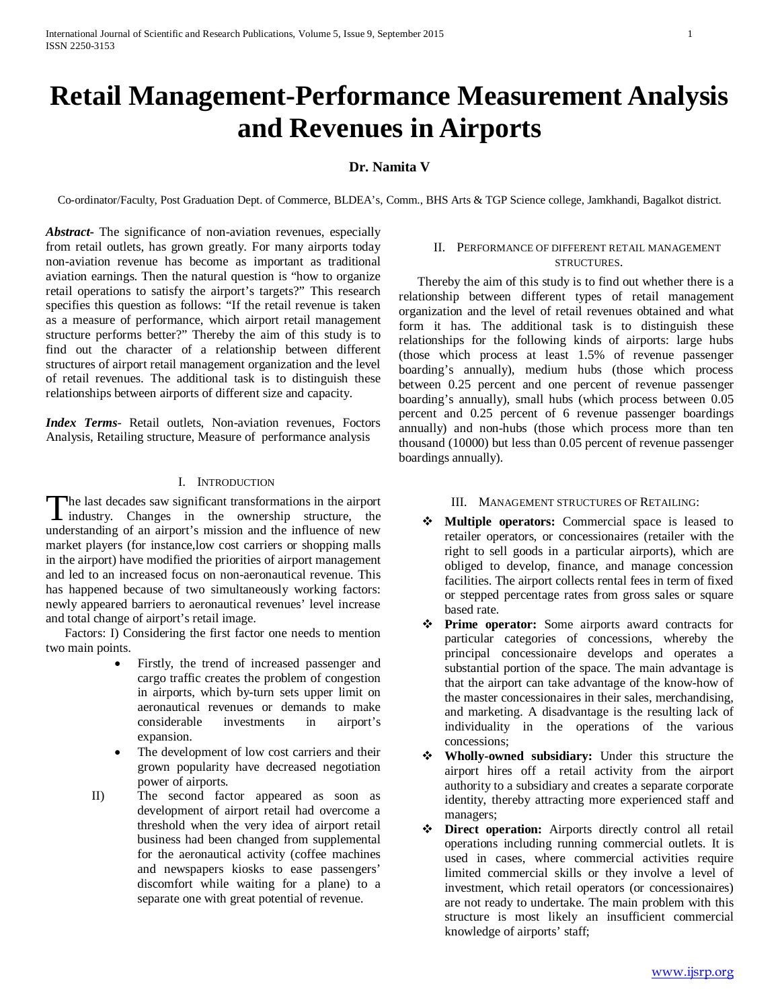# **Retail Management-Performance Measurement Analysis and Revenues in Airports**

## **Dr. Namita V**

Co-ordinator/Faculty, Post Graduation Dept. of Commerce, BLDEA's, Comm., BHS Arts & TGP Science college, Jamkhandi, Bagalkot district.

*Abstract***-** The significance of non-aviation revenues, especially from retail outlets, has grown greatly. For many airports today non-aviation revenue has become as important as traditional aviation earnings. Then the natural question is "how to organize retail operations to satisfy the airport's targets?" This research specifies this question as follows: "If the retail revenue is taken as a measure of performance, which airport retail management structure performs better?" Thereby the aim of this study is to find out the character of a relationship between different structures of airport retail management organization and the level of retail revenues. The additional task is to distinguish these relationships between airports of different size and capacity.

*Index Terms*- Retail outlets, Non-aviation revenues, Foctors Analysis, Retailing structure, Measure of performance analysis

## I. INTRODUCTION

The last decades saw significant transformations in the airport The last decades saw significant transformations in the airport<br>industry. Changes in the ownership structure, the understanding of an airport's mission and the influence of new market players (for instance,low cost carriers or shopping malls in the airport) have modified the priorities of airport management and led to an increased focus on non-aeronautical revenue. This has happened because of two simultaneously working factors: newly appeared barriers to aeronautical revenues' level increase and total change of airport's retail image.

 Factors: I) Considering the first factor one needs to mention two main points.

- Firstly, the trend of increased passenger and cargo traffic creates the problem of congestion in airports, which by-turn sets upper limit on aeronautical revenues or demands to make considerable investments in airport's expansion.
- The development of low cost carriers and their grown popularity have decreased negotiation power of airports.
- II) The second factor appeared as soon as development of airport retail had overcome a threshold when the very idea of airport retail business had been changed from supplemental for the aeronautical activity (coffee machines and newspapers kiosks to ease passengers' discomfort while waiting for a plane) to a separate one with great potential of revenue.

## II. PERFORMANCE OF DIFFERENT RETAIL MANAGEMENT STRUCTURES.

 Thereby the aim of this study is to find out whether there is a relationship between different types of retail management organization and the level of retail revenues obtained and what form it has. The additional task is to distinguish these relationships for the following kinds of airports: large hubs (those which process at least 1.5% of revenue passenger boarding's annually), medium hubs (those which process between 0.25 percent and one percent of revenue passenger boarding's annually), small hubs (which process between 0.05 percent and 0.25 percent of 6 revenue passenger boardings annually) and non-hubs (those which process more than ten thousand (10000) but less than 0.05 percent of revenue passenger boardings annually).

#### III. MANAGEMENT STRUCTURES OF RETAILING:

- **Multiple operators:** Commercial space is leased to retailer operators, or concessionaires (retailer with the right to sell goods in a particular airports), which are obliged to develop, finance, and manage concession facilities. The airport collects rental fees in term of fixed or stepped percentage rates from gross sales or square based rate.
- **Prime operator:** Some airports award contracts for particular categories of concessions, whereby the principal concessionaire develops and operates a substantial portion of the space. The main advantage is that the airport can take advantage of the know-how of the master concessionaires in their sales, merchandising, and marketing. A disadvantage is the resulting lack of individuality in the operations of the various concessions;
- **Wholly-owned subsidiary:** Under this structure the airport hires off a retail activity from the airport authority to a subsidiary and creates a separate corporate identity, thereby attracting more experienced staff and managers;
- **Direct operation:** Airports directly control all retail operations including running commercial outlets. It is used in cases, where commercial activities require limited commercial skills or they involve a level of investment, which retail operators (or concessionaires) are not ready to undertake. The main problem with this structure is most likely an insufficient commercial knowledge of airports' staff;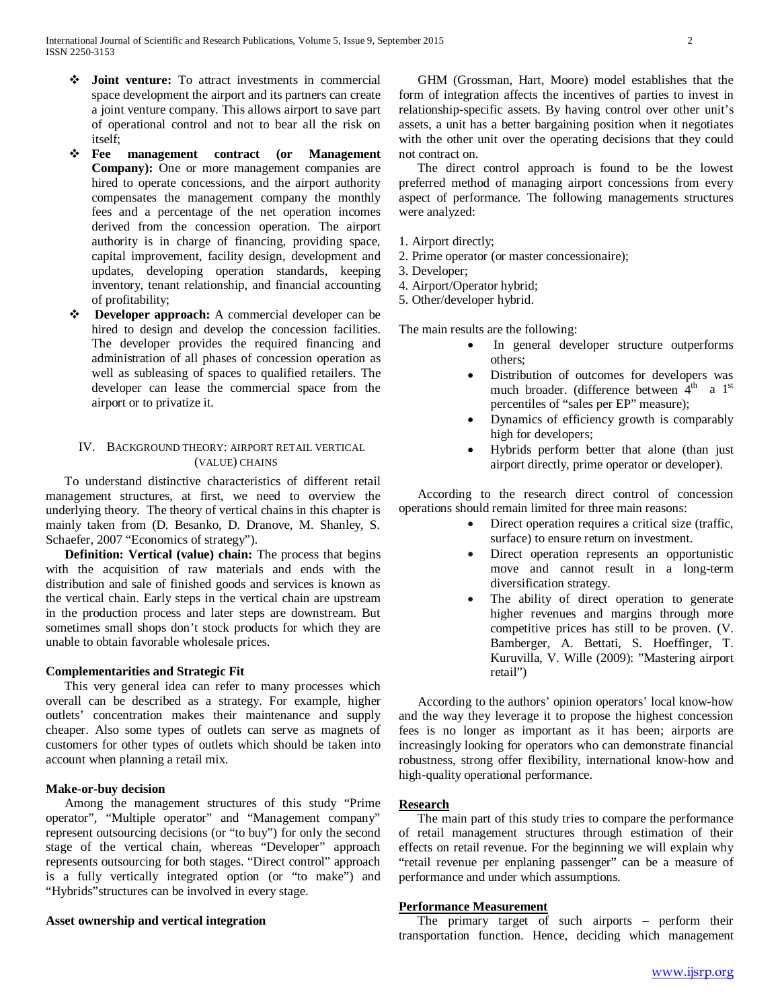- **Joint venture:** To attract investments in commercial space development the airport and its partners can create a joint venture company. This allows airport to save part of operational control and not to bear all the risk on itself;
- **Fee management contract (or Management Company):** One or more management companies are hired to operate concessions, and the airport authority compensates the management company the monthly fees and a percentage of the net operation incomes derived from the concession operation. The airport authority is in charge of financing, providing space, capital improvement, facility design, development and updates, developing operation standards, keeping inventory, tenant relationship, and financial accounting of profitability;
- **Developer approach:** A commercial developer can be hired to design and develop the concession facilities. The developer provides the required financing and administration of all phases of concession operation as well as subleasing of spaces to qualified retailers. The developer can lease the commercial space from the airport or to privatize it.

## IV. BACKGROUND THEORY: AIRPORT RETAIL VERTICAL (VALUE) CHAINS

 To understand distinctive characteristics of different retail management structures, at first, we need to overview the underlying theory. The theory of vertical chains in this chapter is mainly taken from (D. Besanko, D. Dranove, M. Shanley, S. Schaefer, 2007 "Economics of strategy").

**Definition: Vertical (value) chain:** The process that begins with the acquisition of raw materials and ends with the distribution and sale of finished goods and services is known as the vertical chain. Early steps in the vertical chain are upstream in the production process and later steps are downstream. But sometimes small shops don't stock products for which they are unable to obtain favorable wholesale prices.

## **Complementarities and Strategic Fit**

 This very general idea can refer to many processes which overall can be described as a strategy. For example, higher outlets' concentration makes their maintenance and supply cheaper. Also some types of outlets can serve as magnets of customers for other types of outlets which should be taken into account when planning a retail mix.

## **Make-or-buy decision**

 Among the management structures of this study "Prime operator", "Multiple operator" and "Management company" represent outsourcing decisions (or "to buy") for only the second stage of the vertical chain, whereas "Developer" approach represents outsourcing for both stages. "Direct control" approach is a fully vertically integrated option (or "to make") and "Hybrids"structures can be involved in every stage.

## **Asset ownership and vertical integration**

 GHM (Grossman, Hart, Moore) model establishes that the form of integration affects the incentives of parties to invest in relationship-specific assets. By having control over other unit's assets, a unit has a better bargaining position when it negotiates with the other unit over the operating decisions that they could not contract on.

 The direct control approach is found to be the lowest preferred method of managing airport concessions from every aspect of performance. The following managements structures were analyzed:

- 1. Airport directly;
- 2. Prime operator (or master concessionaire);
- 3. Developer;
- 4. Airport/Operator hybrid;
- 5. Other/developer hybrid.

The main results are the following:

- In general developer structure outperforms others;
- Distribution of outcomes for developers was much broader. (difference between  $4<sup>th</sup>$  a  $1<sup>st</sup>$ percentiles of "sales per EP" measure);
- Dynamics of efficiency growth is comparably high for developers;
- Hybrids perform better that alone (than just airport directly, prime operator or developer).

 According to the research direct control of concession operations should remain limited for three main reasons:

- Direct operation requires a critical size (traffic, surface) to ensure return on investment.
- Direct operation represents an opportunistic move and cannot result in a long-term diversification strategy.
- The ability of direct operation to generate higher revenues and margins through more competitive prices has still to be proven. (V. Bamberger, A. Bettati, S. Hoeffinger, T. Kuruvilla, V. Wille (2009): "Mastering airport retail")

 According to the authors' opinion operators' local know-how and the way they leverage it to propose the highest concession fees is no longer as important as it has been; airports are increasingly looking for operators who can demonstrate financial robustness, strong offer flexibility, international know-how and high-quality operational performance.

## **Research**

 The main part of this study tries to compare the performance of retail management structures through estimation of their effects on retail revenue. For the beginning we will explain why "retail revenue per enplaning passenger" can be a measure of performance and under which assumptions.

## **Performance Measurement**

 The primary target of such airports – perform their transportation function. Hence, deciding which management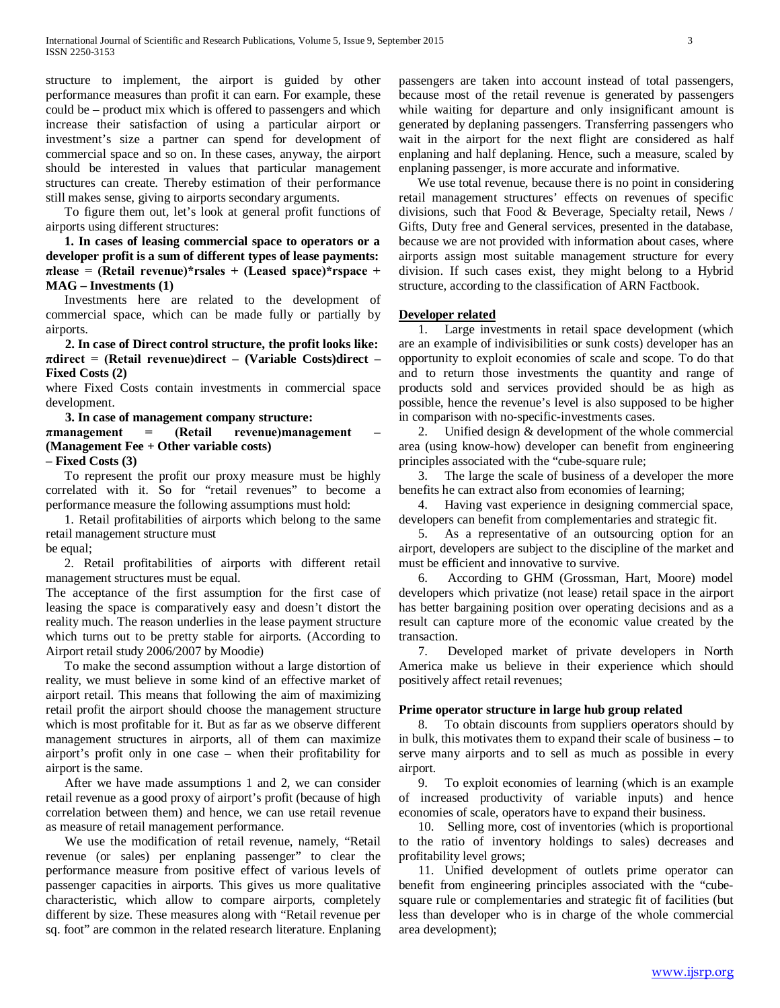structure to implement, the airport is guided by other performance measures than profit it can earn. For example, these could be – product mix which is offered to passengers and which increase their satisfaction of using a particular airport or investment's size a partner can spend for development of commercial space and so on. In these cases, anyway, the airport should be interested in values that particular management structures can create. Thereby estimation of their performance still makes sense, giving to airports secondary arguments.

 To figure them out, let's look at general profit functions of airports using different structures:

 **1. In cases of leasing commercial space to operators or a developer profit is a sum of different types of lease payments: πlease = (Retail revenue)\*rsales + (Leased space)\*rspace + MAG – Investments (1)**

 Investments here are related to the development of commercial space, which can be made fully or partially by airports.

 **2. In case of Direct control structure, the profit looks like: πdirect = (Retail revenue)direct – (Variable Costs)direct – Fixed Costs (2)**

where Fixed Costs contain investments in commercial space development.

**3. In case of management company structure:**

**πmanagement = (Retail revenue)management – (Management Fee + Other variable costs)**

**– Fixed Costs (3)**

 To represent the profit our proxy measure must be highly correlated with it. So for "retail revenues" to become a performance measure the following assumptions must hold:

 1. Retail profitabilities of airports which belong to the same retail management structure must

be equal;

 2. Retail profitabilities of airports with different retail management structures must be equal.

The acceptance of the first assumption for the first case of leasing the space is comparatively easy and doesn't distort the reality much. The reason underlies in the lease payment structure which turns out to be pretty stable for airports. (According to Airport retail study 2006/2007 by Moodie)

 To make the second assumption without a large distortion of reality, we must believe in some kind of an effective market of airport retail. This means that following the aim of maximizing retail profit the airport should choose the management structure which is most profitable for it. But as far as we observe different management structures in airports, all of them can maximize airport's profit only in one case – when their profitability for airport is the same.

 After we have made assumptions 1 and 2, we can consider retail revenue as a good proxy of airport's profit (because of high correlation between them) and hence, we can use retail revenue as measure of retail management performance.

 We use the modification of retail revenue, namely, "Retail revenue (or sales) per enplaning passenger" to clear the performance measure from positive effect of various levels of passenger capacities in airports. This gives us more qualitative characteristic, which allow to compare airports, completely different by size. These measures along with "Retail revenue per sq. foot" are common in the related research literature. Enplaning passengers are taken into account instead of total passengers, because most of the retail revenue is generated by passengers while waiting for departure and only insignificant amount is generated by deplaning passengers. Transferring passengers who wait in the airport for the next flight are considered as half enplaning and half deplaning. Hence, such a measure, scaled by enplaning passenger, is more accurate and informative.

 We use total revenue, because there is no point in considering retail management structures' effects on revenues of specific divisions, such that Food & Beverage, Specialty retail, News / Gifts, Duty free and General services, presented in the database, because we are not provided with information about cases, where airports assign most suitable management structure for every division. If such cases exist, they might belong to a Hybrid structure, according to the classification of ARN Factbook.

#### **Developer related**

 1. Large investments in retail space development (which are an example of indivisibilities or sunk costs) developer has an opportunity to exploit economies of scale and scope. To do that and to return those investments the quantity and range of products sold and services provided should be as high as possible, hence the revenue's level is also supposed to be higher in comparison with no-specific-investments cases.

 2. Unified design & development of the whole commercial area (using know-how) developer can benefit from engineering principles associated with the "cube-square rule;

 3. The large the scale of business of a developer the more benefits he can extract also from economies of learning;

 4. Having vast experience in designing commercial space, developers can benefit from complementaries and strategic fit.

 5. As a representative of an outsourcing option for an airport, developers are subject to the discipline of the market and must be efficient and innovative to survive.

 6. According to GHM (Grossman, Hart, Moore) model developers which privatize (not lease) retail space in the airport has better bargaining position over operating decisions and as a result can capture more of the economic value created by the transaction.

 7. Developed market of private developers in North America make us believe in their experience which should positively affect retail revenues;

#### **Prime operator structure in large hub group related**

 8. To obtain discounts from suppliers operators should by in bulk, this motivates them to expand their scale of business – to serve many airports and to sell as much as possible in every airport.

 9. To exploit economies of learning (which is an example of increased productivity of variable inputs) and hence economies of scale, operators have to expand their business.

 10. Selling more, cost of inventories (which is proportional to the ratio of inventory holdings to sales) decreases and profitability level grows;

 11. Unified development of outlets prime operator can benefit from engineering principles associated with the "cubesquare rule or complementaries and strategic fit of facilities (but less than developer who is in charge of the whole commercial area development);